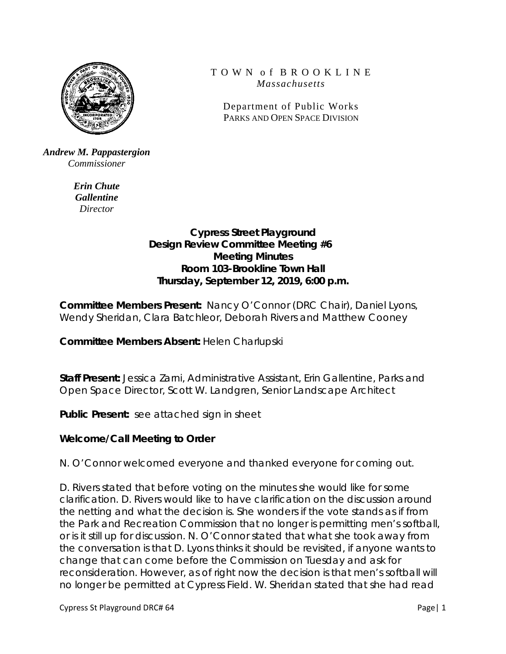

#### *Andrew M. Pappastergion Commissioner*

*Erin Chute Gallentine Director*

## T O W N o f B R O O K L I N E *Massachusetts*

Department of Public Works PARKS AND OPEN SPACE DIVISION

# **Cypress Street Playground Design Review Committee Meeting #6 Meeting Minutes Room 103-Brookline Town Hall Thursday, September 12, 2019, 6:00 p.m.**

**Committee Members Present:** Nancy O'Connor (DRC Chair), Daniel Lyons, Wendy Sheridan, Clara Batchleor, Deborah Rivers and Matthew Cooney

**Committee Members Absent:** Helen Charlupski

**Staff Present:** Jessica Zarni, Administrative Assistant, Erin Gallentine, Parks and Open Space Director, Scott W. Landgren, Senior Landscape Architect

**Public Present:** see attached sign in sheet

# **Welcome/Call Meeting to Order**

N. O'Connor welcomed everyone and thanked everyone for coming out.

D. Rivers stated that before voting on the minutes she would like for some clarification. D. Rivers would like to have clarification on the discussion around the netting and what the decision is. She wonders if the vote stands as if from the Park and Recreation Commission that no longer is permitting men's softball, or is it still up for discussion. N. O'Connor stated that what she took away from the conversation is that D. Lyons thinks it should be revisited, if anyone wants to change that can come before the Commission on Tuesday and ask for reconsideration. However, as of right now the decision is that men's softball will no longer be permitted at Cypress Field. W. Sheridan stated that she had read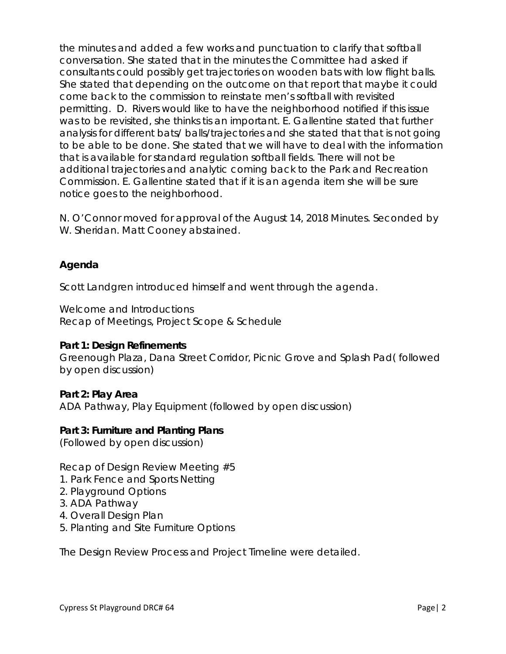the minutes and added a few works and punctuation to clarify that softball conversation. She stated that in the minutes the Committee had asked if consultants could possibly get trajectories on wooden bats with low flight balls. She stated that depending on the outcome on that report that maybe it could come back to the commission to reinstate men's softball with revisited permitting. D. Rivers would like to have the neighborhood notified if this issue was to be revisited, she thinks tis an important. E. Gallentine stated that further analysis for different bats/ balls/trajectories and she stated that that is not going to be able to be done. She stated that we will have to deal with the information that is available for standard regulation softball fields. There will not be additional trajectories and analytic coming back to the Park and Recreation Commission. E. Gallentine stated that if it is an agenda item she will be sure notice goes to the neighborhood.

N. O'Connor moved for approval of the August 14, 2018 Minutes. Seconded by W. Sheridan. Matt Cooney abstained.

## **Agenda**

Scott Landgren introduced himself and went through the agenda.

Welcome and Introductions Recap of Meetings, Project Scope & Schedule

#### **Part 1: Design Refinements**

Greenough Plaza, Dana Street Corridor, Picnic Grove and Splash Pad( followed by open discussion)

## **Part 2: Play Area**

ADA Pathway, Play Equipment (followed by open discussion)

#### **Part 3: Furniture and Planting Plans**

(Followed by open discussion)

Recap of Design Review Meeting #5

- 1. Park Fence and Sports Netting
- 2. Playground Options
- 3. ADA Pathway
- 4. Overall Design Plan
- 5. Planting and Site Furniture Options

The Design Review Process and Project Timeline were detailed.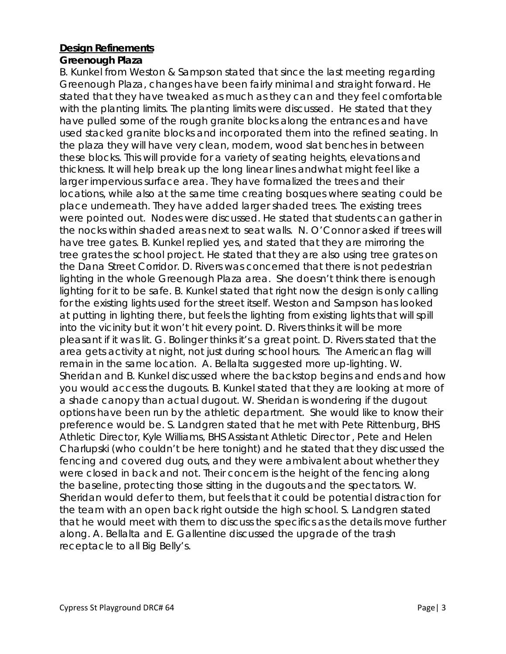### **Design Refinements**

### **Greenough Plaza**

B. Kunkel from Weston & Sampson stated that since the last meeting regarding Greenough Plaza, changes have been fairly minimal and straight forward. He stated that they have tweaked as much as they can and they feel comfortable with the planting limits. The planting limits were discussed. He stated that they have pulled some of the rough granite blocks along the entrances and have used stacked granite blocks and incorporated them into the refined seating. In the plaza they will have very clean, modern, wood slat benches in between these blocks. This will provide for a variety of seating heights, elevations and thickness. It will help break up the long linear lines andwhat might feel like a larger impervious surface area. They have formalized the trees and their locations, while also at the same time creating bosques where seating could be place underneath. They have added larger shaded trees. The existing trees were pointed out. Nodes were discussed. He stated that students can gather in the nocks within shaded areas next to seat walls. N. O'Connor asked if trees will have tree gates. B. Kunkel replied yes, and stated that they are mirroring the tree grates the school project. He stated that they are also using tree grates on the Dana Street Corridor. D. Rivers was concerned that there is not pedestrian lighting in the whole Greenough Plaza area. She doesn't think there is enough lighting for it to be safe. B. Kunkel stated that right now the design is only calling for the existing lights used for the street itself. Weston and Sampson has looked at putting in lighting there, but feels the lighting from existing lights that will spill into the vicinity but it won't hit every point. D. Rivers thinks it will be more pleasant if it was lit. G. Bolinger thinks it's a great point. D. Rivers stated that the area gets activity at night, not just during school hours. The American flag will remain in the same location. A. Bellalta suggested more up-lighting. W. Sheridan and B. Kunkel discussed where the backstop begins and ends and how you would access the dugouts. B. Kunkel stated that they are looking at more of a shade canopy than actual dugout. W. Sheridan is wondering if the dugout options have been run by the athletic department. She would like to know their preference would be. S. Landgren stated that he met with Pete Rittenburg, BHS Athletic Director, Kyle Williams, BHS Assistant Athletic Director , Pete and Helen Charlupski (who couldn't be here tonight) and he stated that they discussed the fencing and covered dug outs, and they were ambivalent about whether they were closed in back and not. Their concern is the height of the fencing along the baseline, protecting those sitting in the dugouts and the spectators. W. Sheridan would defer to them, but feels that it could be potential distraction for the team with an open back right outside the high school. S. Landgren stated that he would meet with them to discuss the specifics as the details move further along. A. Bellalta and E. Gallentine discussed the upgrade of the trash receptacle to all Big Belly's.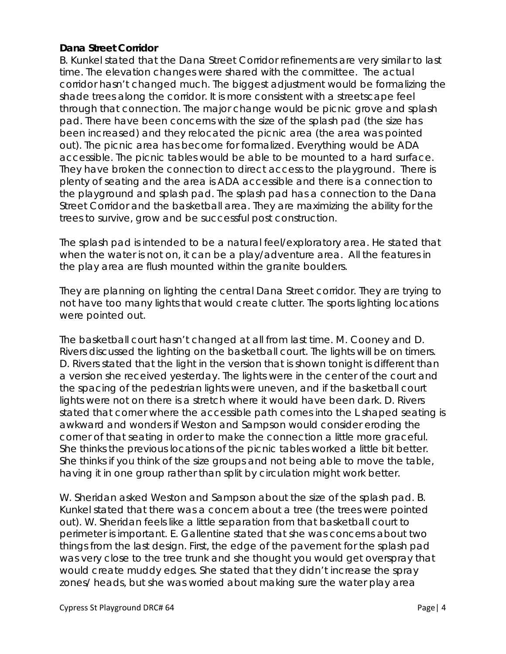### **Dana Street Corridor**

B. Kunkel stated that the Dana Street Corridor refinements are very similar to last time. The elevation changes were shared with the committee. The actual corridor hasn't changed much. The biggest adjustment would be formalizing the shade trees along the corridor. It is more consistent with a streetscape feel through that connection. The major change would be picnic grove and splash pad. There have been concerns with the size of the splash pad (the size has been increased) and they relocated the picnic area (the area was pointed out). The picnic area has become for formalized. Everything would be ADA accessible. The picnic tables would be able to be mounted to a hard surface. They have broken the connection to direct access to the playground. There is plenty of seating and the area is ADA accessible and there is a connection to the playground and splash pad. The splash pad has a connection to the Dana Street Corridor and the basketball area. They are maximizing the ability for the trees to survive, grow and be successful post construction.

The splash pad is intended to be a natural feel/exploratory area. He stated that when the water is not on, it can be a play/adventure area. All the features in the play area are flush mounted within the granite boulders.

They are planning on lighting the central Dana Street corridor. They are trying to not have too many lights that would create clutter. The sports lighting locations were pointed out.

The basketball court hasn't changed at all from last time. M. Cooney and D. Rivers discussed the lighting on the basketball court. The lights will be on timers. D. Rivers stated that the light in the version that is shown tonight is different than a version she received yesterday. The lights were in the center of the court and the spacing of the pedestrian lights were uneven, and if the basketball court lights were not on there is a stretch where it would have been dark. D. Rivers stated that corner where the accessible path comes into the L shaped seating is awkward and wonders if Weston and Sampson would consider eroding the corner of that seating in order to make the connection a little more graceful. She thinks the previous locations of the picnic tables worked a little bit better. She thinks if you think of the size groups and not being able to move the table, having it in one group rather than split by circulation might work better.

W. Sheridan asked Weston and Sampson about the size of the splash pad. B. Kunkel stated that there was a concern about a tree (the trees were pointed out). W. Sheridan feels like a little separation from that basketball court to perimeter is important. E. Gallentine stated that she was concerns about two things from the last design. First, the edge of the pavement for the splash pad was very close to the tree trunk and she thought you would get overspray that would create muddy edges. She stated that they didn't increase the spray zones/ heads, but she was worried about making sure the water play area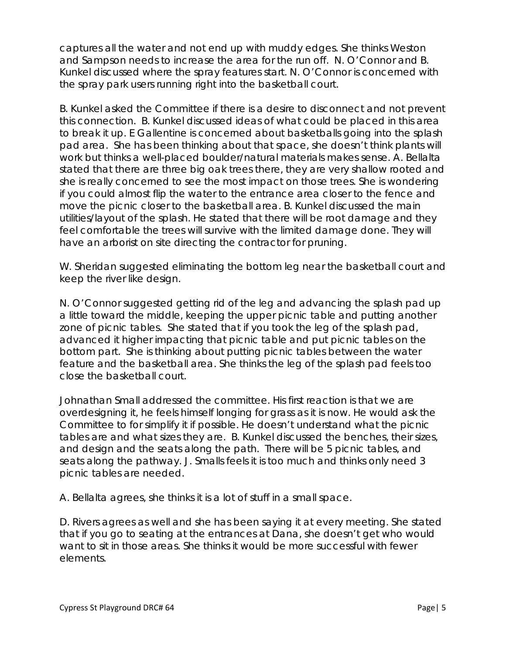captures all the water and not end up with muddy edges. She thinks Weston and Sampson needs to increase the area for the run off. N. O'Connor and B. Kunkel discussed where the spray features start. N. O'Connor is concerned with the spray park users running right into the basketball court.

B. Kunkel asked the Committee if there is a desire to disconnect and not prevent this connection. B. Kunkel discussed ideas of what could be placed in this area to break it up. E Gallentine is concerned about basketballs going into the splash pad area. She has been thinking about that space, she doesn't think plants will work but thinks a well-placed boulder/natural materials makes sense. A. Bellalta stated that there are three big oak trees there, they are very shallow rooted and she is really concerned to see the most impact on those trees. She is wondering if you could almost flip the water to the entrance area closer to the fence and move the picnic closer to the basketball area. B. Kunkel discussed the main utilities/layout of the splash. He stated that there will be root damage and they feel comfortable the trees will survive with the limited damage done. They will have an arborist on site directing the contractor for pruning.

W. Sheridan suggested eliminating the bottom leg near the basketball court and keep the river like design.

N. O'Connor suggested getting rid of the leg and advancing the splash pad up a little toward the middle, keeping the upper picnic table and putting another zone of picnic tables. She stated that if you took the leg of the splash pad, advanced it higher impacting that picnic table and put picnic tables on the bottom part. She is thinking about putting picnic tables between the water feature and the basketball area. She thinks the leg of the splash pad feels too close the basketball court.

Johnathan Small addressed the committee. His first reaction is that we are overdesigning it, he feels himself longing for grass as it is now. He would ask the Committee to for simplify it if possible. He doesn't understand what the picnic tables are and what sizes they are. B. Kunkel discussed the benches, their sizes, and design and the seats along the path. There will be 5 picnic tables, and seats along the pathway. J. Smalls feels it is too much and thinks only need 3 picnic tables are needed.

A. Bellalta agrees, she thinks it is a lot of stuff in a small space.

D. Rivers agrees as well and she has been saying it at every meeting. She stated that if you go to seating at the entrances at Dana, she doesn't get who would want to sit in those areas. She thinks it would be more successful with fewer elements.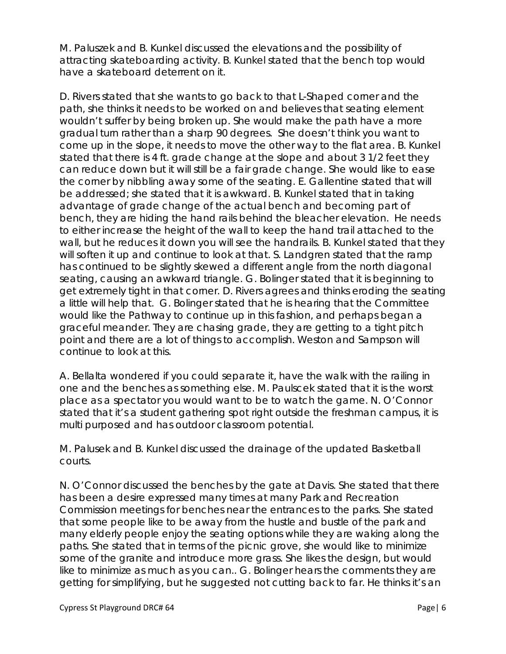M. Paluszek and B. Kunkel discussed the elevations and the possibility of attracting skateboarding activity. B. Kunkel stated that the bench top would have a skateboard deterrent on it.

D. Rivers stated that she wants to go back to that L-Shaped corner and the path, she thinks it needs to be worked on and believes that seating element wouldn't suffer by being broken up. She would make the path have a more gradual turn rather than a sharp 90 degrees. She doesn't think you want to come up in the slope, it needs to move the other way to the flat area. B. Kunkel stated that there is 4 ft. grade change at the slope and about 3 1/2 feet they can reduce down but it will still be a fair grade change. She would like to ease the corner by nibbling away some of the seating. E. Gallentine stated that will be addressed; she stated that it is awkward. B. Kunkel stated that in taking advantage of grade change of the actual bench and becoming part of bench, they are hiding the hand rails behind the bleacher elevation. He needs to either increase the height of the wall to keep the hand trail attached to the wall, but he reduces it down you will see the handrails. B. Kunkel stated that they will soften it up and continue to look at that. S. Landgren stated that the ramp has continued to be slightly skewed a different angle from the north diagonal seating, causing an awkward triangle. G. Bolinger stated that it is beginning to get extremely tight in that corner. D. Rivers agrees and thinks eroding the seating a little will help that. G. Bolinger stated that he is hearing that the Committee would like the Pathway to continue up in this fashion, and perhaps began a graceful meander. They are chasing grade, they are getting to a tight pitch point and there are a lot of things to accomplish. Weston and Sampson will continue to look at this.

A. Bellalta wondered if you could separate it, have the walk with the railing in one and the benches as something else. M. Paulscek stated that it is the worst place as a spectator you would want to be to watch the game. N. O'Connor stated that it's a student gathering spot right outside the freshman campus, it is multi purposed and has outdoor classroom potential.

M. Palusek and B. Kunkel discussed the drainage of the updated Basketball courts.

N. O'Connor discussed the benches by the gate at Davis. She stated that there has been a desire expressed many times at many Park and Recreation Commission meetings for benches near the entrances to the parks. She stated that some people like to be away from the hustle and bustle of the park and many elderly people enjoy the seating options while they are waking along the paths. She stated that in terms of the picnic grove, she would like to minimize some of the granite and introduce more grass. She likes the design, but would like to minimize as much as you can.. G. Bolinger hears the comments they are getting for simplifying, but he suggested not cutting back to far. He thinks it's an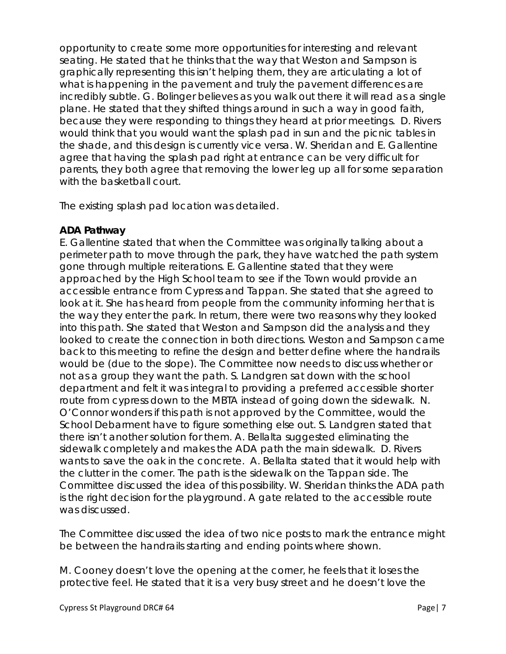opportunity to create some more opportunities for interesting and relevant seating. He stated that he thinks that the way that Weston and Sampson is graphically representing this isn't helping them, they are articulating a lot of what is happening in the pavement and truly the pavement differences are incredibly subtle. G. Bolinger believes as you walk out there it will read as a single plane. He stated that they shifted things around in such a way in good faith, because they were responding to things they heard at prior meetings. D. Rivers would think that you would want the splash pad in sun and the picnic tables in the shade, and this design is currently vice versa. W. Sheridan and E. Gallentine agree that having the splash pad right at entrance can be very difficult for parents, they both agree that removing the lower leg up all for some separation with the basketball court.

The existing splash pad location was detailed.

# **ADA Pathway**

E. Gallentine stated that when the Committee was originally talking about a perimeter path to move through the park, they have watched the path system gone through multiple reiterations. E. Gallentine stated that they were approached by the High School team to see if the Town would provide an accessible entrance from Cypress and Tappan. She stated that she agreed to look at it. She has heard from people from the community informing her that is the way they enter the park. In return, there were two reasons why they looked into this path. She stated that Weston and Sampson did the analysis and they looked to create the connection in both directions. Weston and Sampson came back to this meeting to refine the design and better define where the handrails would be (due to the slope). The Committee now needs to discuss whether or not as a group they want the path. S. Landgren sat down with the school department and felt it was integral to providing a preferred accessible shorter route from cypress down to the MBTA instead of going down the sidewalk. N. O'Connor wonders if this path is not approved by the Committee, would the School Debarment have to figure something else out. S. Landgren stated that there isn't another solution for them. A. Bellalta suggested eliminating the sidewalk completely and makes the ADA path the main sidewalk. D. Rivers wants to save the oak in the concrete. A. Bellalta stated that it would help with the clutter in the corner. The path is the sidewalk on the Tappan side. The Committee discussed the idea of this possibility. W. Sheridan thinks the ADA path is the right decision for the playground. A gate related to the accessible route was discussed.

The Committee discussed the idea of two nice posts to mark the entrance might be between the handrails starting and ending points where shown.

M. Cooney doesn't love the opening at the corner, he feels that it loses the protective feel. He stated that it is a very busy street and he doesn't love the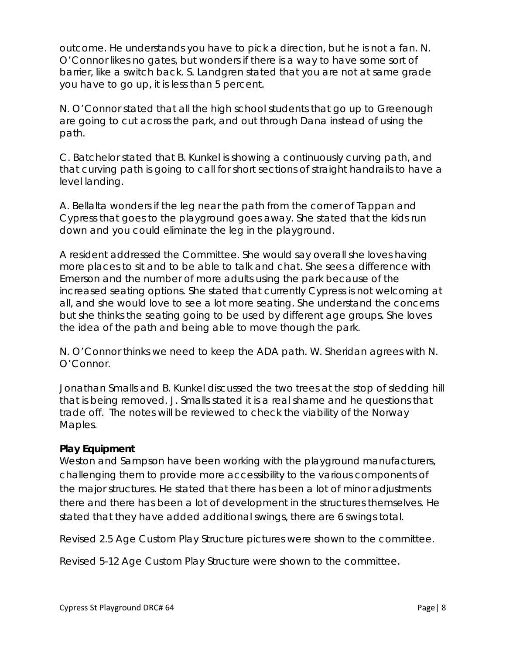outcome. He understands you have to pick a direction, but he is not a fan. N. O'Connor likes no gates, but wonders if there is a way to have some sort of barrier, like a switch back. S. Landgren stated that you are not at same grade you have to go up, it is less than 5 percent.

N. O'Connor stated that all the high school students that go up to Greenough are going to cut across the park, and out through Dana instead of using the path.

C. Batchelor stated that B. Kunkel is showing a continuously curving path, and that curving path is going to call for short sections of straight handrails to have a level landing.

A. Bellalta wonders if the leg near the path from the corner of Tappan and Cypress that goes to the playground goes away. She stated that the kids run down and you could eliminate the leg in the playground.

A resident addressed the Committee. She would say overall she loves having more places to sit and to be able to talk and chat. She sees a difference with Emerson and the number of more adults using the park because of the increased seating options. She stated that currently Cypress is not welcoming at all, and she would love to see a lot more seating. She understand the concerns but she thinks the seating going to be used by different age groups. She loves the idea of the path and being able to move though the park.

N. O'Connor thinks we need to keep the ADA path. W. Sheridan agrees with N. O'Connor.

Jonathan Smalls and B. Kunkel discussed the two trees at the stop of sledding hill that is being removed. J. Smalls stated it is a real shame and he questions that trade off. The notes will be reviewed to check the viability of the Norway Maples.

## **Play Equipment**

Weston and Sampson have been working with the playground manufacturers, challenging them to provide more accessibility to the various components of the major structures. He stated that there has been a lot of minor adjustments there and there has been a lot of development in the structures themselves. He stated that they have added additional swings, there are 6 swings total.

Revised 2.5 Age Custom Play Structure pictures were shown to the committee.

Revised 5-12 Age Custom Play Structure were shown to the committee.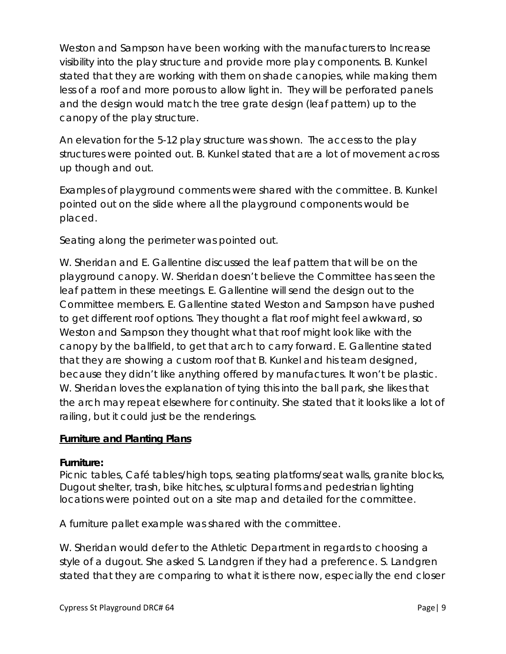Weston and Sampson have been working with the manufacturers to Increase visibility into the play structure and provide more play components. B. Kunkel stated that they are working with them on shade canopies, while making them less of a roof and more porous to allow light in. They will be perforated panels and the design would match the tree grate design (leaf pattern) up to the canopy of the play structure.

An elevation for the 5-12 play structure was shown. The access to the play structures were pointed out. B. Kunkel stated that are a lot of movement across up though and out.

Examples of playground comments were shared with the committee. B. Kunkel pointed out on the slide where all the playground components would be placed.

Seating along the perimeter was pointed out.

W. Sheridan and E. Gallentine discussed the leaf pattern that will be on the playground canopy. W. Sheridan doesn't believe the Committee has seen the leaf pattern in these meetings. E. Gallentine will send the design out to the Committee members. E. Gallentine stated Weston and Sampson have pushed to get different roof options. They thought a flat roof might feel awkward, so Weston and Sampson they thought what that roof might look like with the canopy by the ballfield, to get that arch to carry forward. E. Gallentine stated that they are showing a custom roof that B. Kunkel and his team designed, because they didn't like anything offered by manufactures. It won't be plastic. W. Sheridan loves the explanation of tying this into the ball park, she likes that the arch may repeat elsewhere for continuity. She stated that it looks like a lot of railing, but it could just be the renderings.

## **Furniture and Planting Plans**

#### **Furniture:**

Picnic tables, Café tables/high tops, seating platforms/seat walls, granite blocks, Dugout shelter, trash, bike hitches, sculptural forms and pedestrian lighting locations were pointed out on a site map and detailed for the committee.

A furniture pallet example was shared with the committee.

W. Sheridan would defer to the Athletic Department in regards to choosing a style of a dugout. She asked S. Landgren if they had a preference. S. Landgren stated that they are comparing to what it is there now, especially the end closer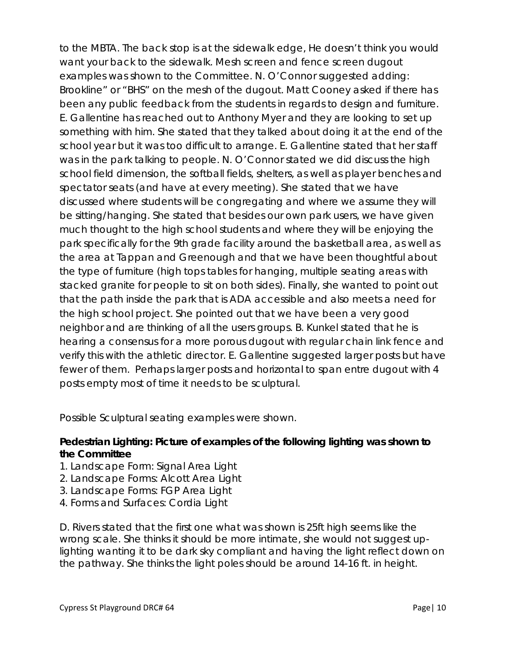to the MBTA. The back stop is at the sidewalk edge, He doesn't think you would want your back to the sidewalk. Mesh screen and fence screen dugout examples was shown to the Committee. N. O'Connor suggested adding: Brookline" or "BHS" on the mesh of the dugout. Matt Cooney asked if there has been any public feedback from the students in regards to design and furniture. E. Gallentine has reached out to Anthony Myer and they are looking to set up something with him. She stated that they talked about doing it at the end of the school year but it was too difficult to arrange. E. Gallentine stated that her staff was in the park talking to people. N. O'Connor stated we did discuss the high school field dimension, the softball fields, shelters, as well as player benches and spectator seats (and have at every meeting). She stated that we have discussed where students will be congregating and where we assume they will be sitting/hanging. She stated that besides our own park users, we have given much thought to the high school students and where they will be enjoying the park specifically for the 9th grade facility around the basketball area, as well as the area at Tappan and Greenough and that we have been thoughtful about the type of furniture (high tops tables for hanging, multiple seating areas with stacked granite for people to sit on both sides). Finally, she wanted to point out that the path inside the park that is ADA accessible and also meets a need for the high school project. She pointed out that we have been a very good neighbor and are thinking of all the users groups. B. Kunkel stated that he is hearing a consensus for a more porous dugout with regular chain link fence and verify this with the athletic director. E. Gallentine suggested larger posts but have fewer of them. Perhaps larger posts and horizontal to span entre dugout with 4 posts empty most of time it needs to be sculptural.

Possible Sculptural seating examples were shown.

# **Pedestrian Lighting: Picture of examples of the following lighting was shown to the Committee**

- 1. Landscape Form: Signal Area Light
- 2. Landscape Forms: Alcott Area Light
- 3. Landscape Forms: FGP Area Light
- 4. Forms and Surfaces: Cordia Light

D. Rivers stated that the first one what was shown is 25ft high seems like the wrong scale. She thinks it should be more intimate, she would not suggest uplighting wanting it to be dark sky compliant and having the light reflect down on the pathway. She thinks the light poles should be around 14-16 ft. in height.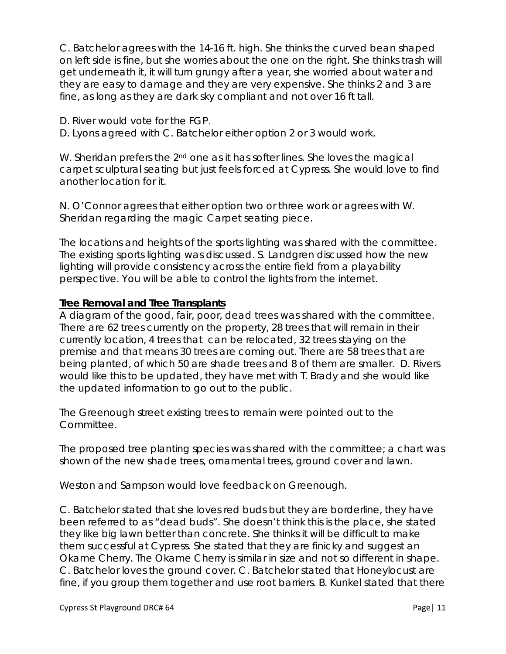C. Batchelor agrees with the 14-16 ft. high. She thinks the curved bean shaped on left side is fine, but she worries about the one on the right. She thinks trash will get underneath it, it will turn grungy after a year, she worried about water and they are easy to damage and they are very expensive. She thinks 2 and 3 are fine, as long as they are dark sky compliant and not over 16 ft tall.

D. River would vote for the FGP.

D. Lyons agreed with C. Batchelor either option 2 or 3 would work.

W. Sheridan prefers the  $2<sup>nd</sup>$  one as it has softer lines. She loves the magical carpet sculptural seating but just feels forced at Cypress. She would love to find another location for it.

N. O'Connor agrees that either option two or three work or agrees with W. Sheridan regarding the magic Carpet seating piece.

The locations and heights of the sports lighting was shared with the committee. The existing sports lighting was discussed. S. Landgren discussed how the new lighting will provide consistency across the entire field from a playability perspective. You will be able to control the lights from the internet.

## **Tree Removal and Tree Transplants**

A diagram of the good, fair, poor, dead trees was shared with the committee. There are 62 trees currently on the property, 28 trees that will remain in their currently location, 4 trees that can be relocated, 32 trees staying on the premise and that means 30 trees are coming out. There are 58 trees that are being planted, of which 50 are shade trees and 8 of them are smaller. D. Rivers would like this to be updated, they have met with T. Brady and she would like the updated information to go out to the public.

The Greenough street existing trees to remain were pointed out to the Committee.

The proposed tree planting species was shared with the committee; a chart was shown of the new shade trees, ornamental trees, ground cover and lawn.

Weston and Sampson would love feedback on Greenough.

C. Batchelor stated that she loves red buds but they are borderline, they have been referred to as "dead buds". She doesn't think this is the place, she stated they like big lawn better than concrete. She thinks it will be difficult to make them successful at Cypress. She stated that they are finicky and suggest an Okame Cherry. The Okame Cherry is similar in size and not so different in shape. C. Batchelor loves the ground cover. C. Batchelor stated that Honeylocust are fine, if you group them together and use root barriers. B. Kunkel stated that there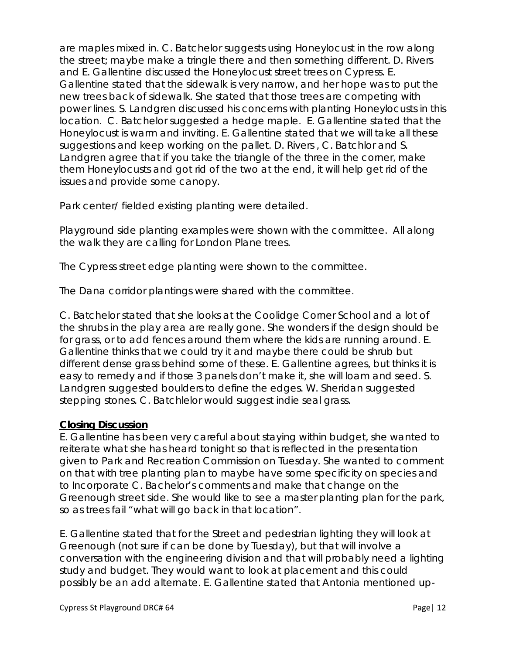are maples mixed in. C. Batchelor suggests using Honeylocust in the row along the street; maybe make a tringle there and then something different. D. Rivers and E. Gallentine discussed the Honeylocust street trees on Cypress. E. Gallentine stated that the sidewalk is very narrow, and her hope was to put the new trees back of sidewalk. She stated that those trees are competing with power lines. S. Landgren discussed his concerns with planting Honeylocusts in this location. C. Batchelor suggested a hedge maple. E. Gallentine stated that the Honeylocust is warm and inviting. E. Gallentine stated that we will take all these suggestions and keep working on the pallet. D. Rivers , C. Batchlor and S. Landgren agree that if you take the triangle of the three in the corner, make them Honeylocusts and got rid of the two at the end, it will help get rid of the issues and provide some canopy.

Park center/ fielded existing planting were detailed.

Playground side planting examples were shown with the committee. All along the walk they are calling for London Plane trees.

The Cypress street edge planting were shown to the committee.

The Dana corridor plantings were shared with the committee.

C. Batchelor stated that she looks at the Coolidge Corner School and a lot of the shrubs in the play area are really gone. She wonders if the design should be for grass, or to add fences around them where the kids are running around. E. Gallentine thinks that we could try it and maybe there could be shrub but different dense grass behind some of these. E. Gallentine agrees, but thinks it is easy to remedy and if those 3 panels don't make it, she will loam and seed. S. Landgren suggested boulders to define the edges. W. Sheridan suggested stepping stones. C. Batchlelor would suggest indie seal grass.

## **Closing Discussion**

E. Gallentine has been very careful about staying within budget, she wanted to reiterate what she has heard tonight so that is reflected in the presentation given to Park and Recreation Commission on Tuesday. She wanted to comment on that with tree planting plan to maybe have some specificity on species and to Incorporate C. Bachelor's comments and make that change on the Greenough street side. She would like to see a master planting plan for the park, so as trees fail "what will go back in that location".

E. Gallentine stated that for the Street and pedestrian lighting they will look at Greenough (not sure if can be done by Tuesday), but that will involve a conversation with the engineering division and that will probably need a lighting study and budget. They would want to look at placement and this could possibly be an add alternate. E. Gallentine stated that Antonia mentioned up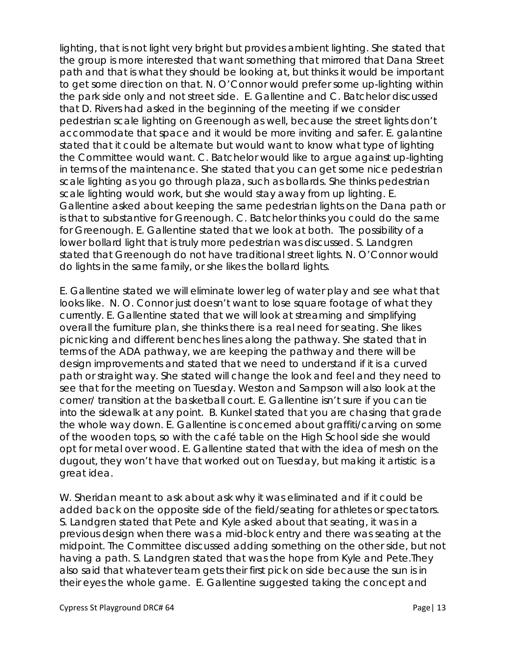lighting, that is not light very bright but provides ambient lighting. She stated that the group is more interested that want something that mirrored that Dana Street path and that is what they should be looking at, but thinks it would be important to get some direction on that. N. O'Connor would prefer some up-lighting within the park side only and not street side. E. Gallentine and C. Batchelor discussed that D. Rivers had asked in the beginning of the meeting if we consider pedestrian scale lighting on Greenough as well, because the street lights don't accommodate that space and it would be more inviting and safer. E. galantine stated that it could be alternate but would want to know what type of lighting the Committee would want. C. Batchelor would like to argue against up-lighting in terms of the maintenance. She stated that you can get some nice pedestrian scale lighting as you go through plaza, such as bollards. She thinks pedestrian scale lighting would work, but she would stay away from up lighting. E. Gallentine asked about keeping the same pedestrian lights on the Dana path or is that to substantive for Greenough. C. Batchelor thinks you could do the same for Greenough. E. Gallentine stated that we look at both. The possibility of a lower bollard light that is truly more pedestrian was discussed. S. Landgren stated that Greenough do not have traditional street lights. N. O'Connor would do lights in the same family, or she likes the bollard lights.

E. Gallentine stated we will eliminate lower leg of water play and see what that looks like. N. O. Connor just doesn't want to lose square footage of what they currently. E. Gallentine stated that we will look at streaming and simplifying overall the furniture plan, she thinks there is a real need for seating. She likes picnicking and different benches lines along the pathway. She stated that in terms of the ADA pathway, we are keeping the pathway and there will be design improvements and stated that we need to understand if it is a curved path or straight way. She stated will change the look and feel and they need to see that for the meeting on Tuesday. Weston and Sampson will also look at the corner/ transition at the basketball court. E. Gallentine isn't sure if you can tie into the sidewalk at any point. B. Kunkel stated that you are chasing that grade the whole way down. E. Gallentine is concerned about graffiti/carving on some of the wooden tops, so with the café table on the High School side she would opt for metal over wood. E. Gallentine stated that with the idea of mesh on the dugout, they won't have that worked out on Tuesday, but making it artistic is a great idea.

W. Sheridan meant to ask about ask why it was eliminated and if it could be added back on the opposite side of the field/seating for athletes or spectators. S. Landgren stated that Pete and Kyle asked about that seating, it was in a previous design when there was a mid-block entry and there was seating at the midpoint. The Committee discussed adding something on the other side, but not having a path. S. Landgren stated that was the hope from Kyle and Pete.They also said that whatever team gets their first pick on side because the sun is in their eyes the whole game. E. Gallentine suggested taking the concept and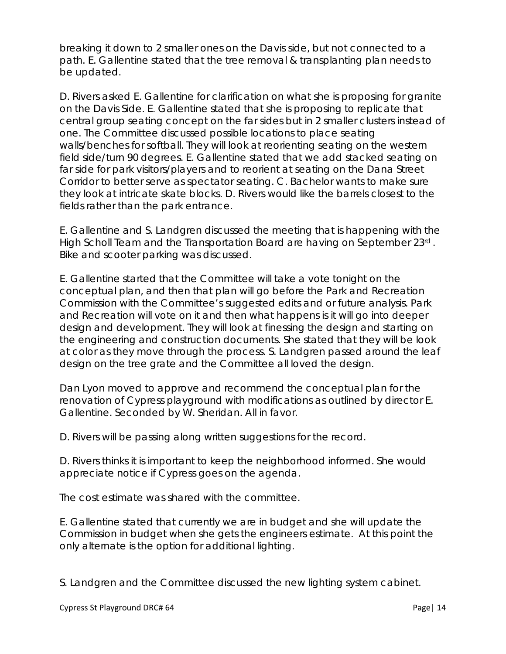breaking it down to 2 smaller ones on the Davis side, but not connected to a path. E. Gallentine stated that the tree removal & transplanting plan needs to be updated.

D. Rivers asked E. Gallentine for clarification on what she is proposing for granite on the Davis Side. E. Gallentine stated that she is proposing to replicate that central group seating concept on the far sides but in 2 smaller clusters instead of one. The Committee discussed possible locations to place seating walls/benches for softball. They will look at reorienting seating on the western field side/turn 90 degrees. E. Gallentine stated that we add stacked seating on far side for park visitors/players and to reorient at seating on the Dana Street Corridor to better serve as spectator seating. C. Bachelor wants to make sure they look at intricate skate blocks. D. Rivers would like the barrels closest to the fields rather than the park entrance.

E. Gallentine and S. Landgren discussed the meeting that is happening with the High Scholl Team and the Transportation Board are having on September 23rd . Bike and scooter parking was discussed.

E. Gallentine started that the Committee will take a vote tonight on the conceptual plan, and then that plan will go before the Park and Recreation Commission with the Committee's suggested edits and or future analysis. Park and Recreation will vote on it and then what happens is it will go into deeper design and development. They will look at finessing the design and starting on the engineering and construction documents. She stated that they will be look at color as they move through the process. S. Landgren passed around the leaf design on the tree grate and the Committee all loved the design.

Dan Lyon moved to approve and recommend the conceptual plan for the renovation of Cypress playground with modifications as outlined by director E. Gallentine. Seconded by W. Sheridan. All in favor.

D. Rivers will be passing along written suggestions for the record.

D. Rivers thinks it is important to keep the neighborhood informed. She would appreciate notice if Cypress goes on the agenda.

The cost estimate was shared with the committee.

E. Gallentine stated that currently we are in budget and she will update the Commission in budget when she gets the engineers estimate. At this point the only alternate is the option for additional lighting.

S. Landgren and the Committee discussed the new lighting system cabinet.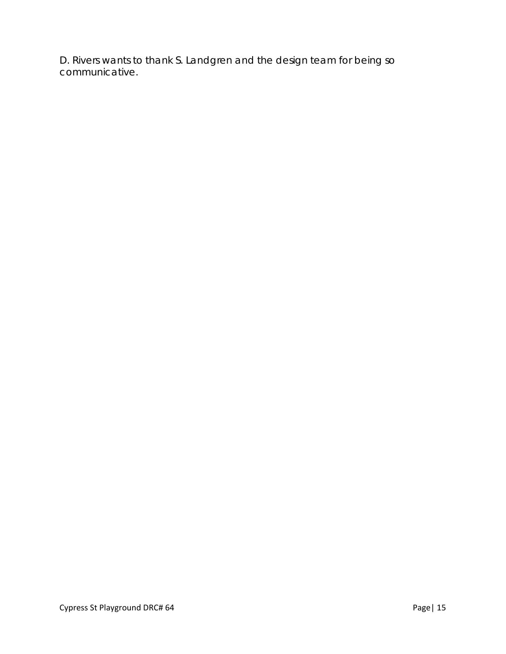D. Rivers wants to thank S. Landgren and the design team for being so communicative.